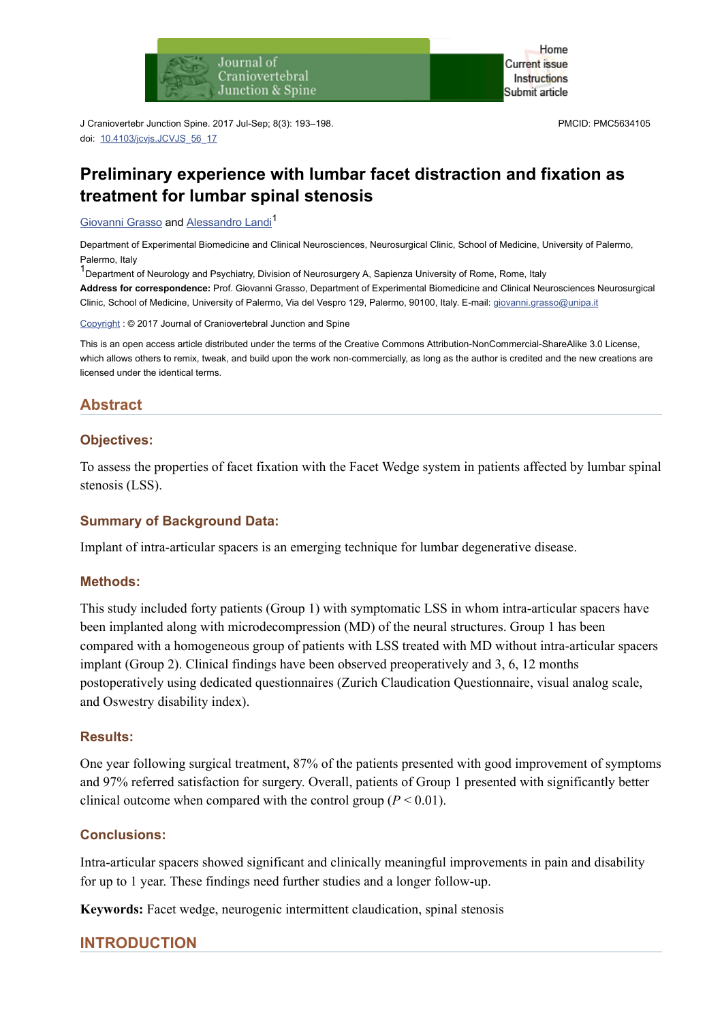

J Craniovertebr Junction Spine. 2017 Jul-Sep; 8(3): 193–198. doi: [10.4103/jcvjs.JCVJS\\_56\\_17](https://dx.doi.org/10.4103%2Fjcvjs.JCVJS_56_17)

PMCID: PMC5634105

# **Preliminary experience with lumbar facet distraction and fixation as treatment for lumbar spinal stenosis**

[Giovanni Grasso](https://www.ncbi.nlm.nih.gov/pubmed/?term=Grasso%20G%5BAuthor%5D&cauthor=true&cauthor_uid=29021670) and [Alessandro Landi](https://www.ncbi.nlm.nih.gov/pubmed/?term=Landi%20A%5BAuthor%5D&cauthor=true&cauthor_uid=29021670)<sup>1</sup>

Department of Experimental Biomedicine and Clinical Neurosciences, Neurosurgical Clinic, School of Medicine, University of Palermo, Palermo, Italy

 $1$ Department of Neurology and Psychiatry, Division of Neurosurgery A, Sapienza University of Rome, Rome, Italy **Address for correspondence:** Prof. Giovanni Grasso, Department of Experimental Biomedicine and Clinical Neurosciences Neurosurgical Clinic, School of Medicine, University of Palermo, Via del Vespro 129, Palermo, 90100, Italy. E-mail: [giovanni.grasso@unipa.it](mailto:dev@null)

[Copyright](https://www.ncbi.nlm.nih.gov/pmc/about/copyright/) : © 2017 Journal of Craniovertebral Junction and Spine

This is an open access article distributed under the terms of the Creative Commons Attribution-NonCommercial-ShareAlike 3.0 License, which allows others to remix, tweak, and build upon the work non-commercially, as long as the author is credited and the new creations are licensed under the identical terms.

# **Abstract**

### **Objectives:**

To assess the properties of facet fixation with the Facet Wedge system in patients affected by lumbar spinal stenosis (LSS).

#### **Summary of Background Data:**

Implant of intra-articular spacers is an emerging technique for lumbar degenerative disease.

#### **Methods:**

This study included forty patients (Group 1) with symptomatic LSS in whom intra-articular spacers have been implanted along with microdecompression (MD) of the neural structures. Group 1 has been compared with a homogeneous group of patients with LSS treated with MD without intra-articular spacers implant (Group 2). Clinical findings have been observed preoperatively and 3, 6, 12 months postoperatively using dedicated questionnaires (Zurich Claudication Questionnaire, visual analog scale, and Oswestry disability index).

#### **Results:**

One year following surgical treatment, 87% of the patients presented with good improvement of symptoms and 97% referred satisfaction for surgery. Overall, patients of Group 1 presented with significantly better clinical outcome when compared with the control group  $(P < 0.01)$ .

#### **Conclusions:**

Intra-articular spacers showed significant and clinically meaningful improvements in pain and disability for up to 1 year. These findings need further studies and a longer follow-up.

**Keywords:** Facet wedge, neurogenic intermittent claudication, spinal stenosis

### **INTRODUCTION**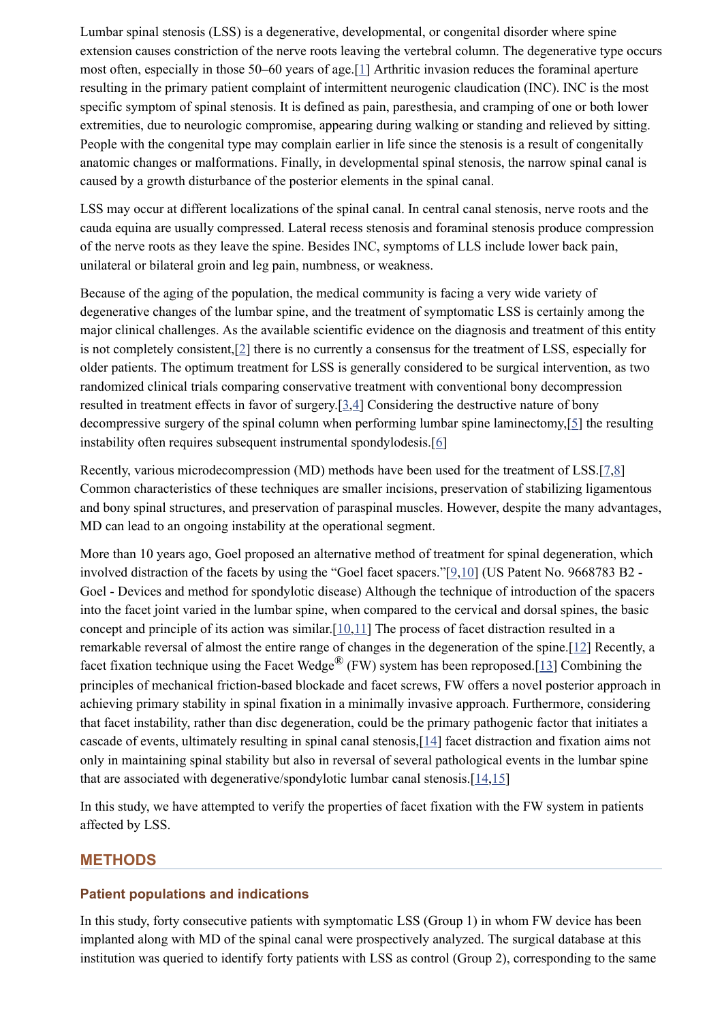Lumbar spinal stenosis (LSS) is a degenerative, developmental, or congenital disorder where spine extension causes constriction of the nerve roots leaving the vertebral column. The degenerative type occurs most often, especially in those 50–60 years of age.[[1](#page-5-0)] Arthritic invasion reduces the foraminal aperture resulting in the primary patient complaint of intermittent neurogenic claudication (INC). INC is the most specific symptom of spinal stenosis. It is defined as pain, paresthesia, and cramping of one or both lower extremities, due to neurologic compromise, appearing during walking or standing and relieved by sitting. People with the congenital type may complain earlier in life since the stenosis is a result of congenitally anatomic changes or malformations. Finally, in developmental spinal stenosis, the narrow spinal canal is caused by a growth disturbance of the posterior elements in the spinal canal.

LSS may occur at different localizations of the spinal canal. In central canal stenosis, nerve roots and the cauda equina are usually compressed. Lateral recess stenosis and foraminal stenosis produce compression of the nerve roots as they leave the spine. Besides INC, symptoms of LLS include lower back pain, unilateral or bilateral groin and leg pain, numbness, or weakness.

Because of the aging of the population, the medical community is facing a very wide variety of degenerative changes of the lumbar spine, and the treatment of symptomatic LSS is certainly among the major clinical challenges. As the available scientific evidence on the diagnosis and treatment of this entity is not completely consistent,[\[2\]](#page-5-1) there is no currently a consensus for the treatment of LSS, especially for older patients. The optimum treatment for LSS is generally considered to be surgical intervention, as two randomized clinical trials comparing conservative treatment with conventional bony decompression resulted in treatment effects in favor of surgery.[\[3,](#page-5-2)[4](#page-5-3)] Considering the destructive nature of bony decompressive surgery of the spinal column when performing lumbar spine laminectomy,[[5\]](#page-5-4) the resulting instability often requires subsequent instrumental spondylodesis.[\[6\]](#page-5-5)

Recently, various microdecompression (MD) methods have been used for the treatment of LSS.[[7](#page-5-6),[8](#page-5-7)] Common characteristics of these techniques are smaller incisions, preservation of stabilizing ligamentous and bony spinal structures, and preservation of paraspinal muscles. However, despite the many advantages, MD can lead to an ongoing instability at the operational segment.

More than 10 years ago, Goel proposed an alternative method of treatment for spinal degeneration, which involved distraction of the facets by using the "Goel facet spacers."[\[9,](#page-5-8)[10\]](#page-5-9) (US Patent No. 9668783 B2 - Goel - Devices and method for spondylotic disease) Although the technique of introduction of the spacers into the facet joint varied in the lumbar spine, when compared to the cervical and dorsal spines, the basic concept and principle of its action was similar.[[10,](#page-5-9)[11\]](#page-5-10) The process of facet distraction resulted in a remarkable reversal of almost the entire range of changes in the degeneration of the spine.[\[12\]](#page-5-11) Recently, a facet fixation technique using the Facet Wedge<sup>®</sup> (FW) system has been reproposed.[[13\]](#page-5-12) Combining the principles of mechanical friction-based blockade and facet screws, FW offers a novel posterior approach in achieving primary stability in spinal fixation in a minimally invasive approach. Furthermore, considering that facet instability, rather than disc degeneration, could be the primary pathogenic factor that initiates a cascade of events, ultimately resulting in spinal canal stenosis,[\[14](#page-6-0)] facet distraction and fixation aims not only in maintaining spinal stability but also in reversal of several pathological events in the lumbar spine that are associated with degenerative/spondylotic lumbar canal stenosis.[\[14,](#page-6-0)[15\]](#page-6-1)

In this study, we have attempted to verify the properties of facet fixation with the FW system in patients affected by LSS.

# **METHODS**

### **Patient populations and indications**

In this study, forty consecutive patients with symptomatic LSS (Group 1) in whom FW device has been implanted along with MD of the spinal canal were prospectively analyzed. The surgical database at this institution was queried to identify forty patients with LSS as control (Group 2), corresponding to the same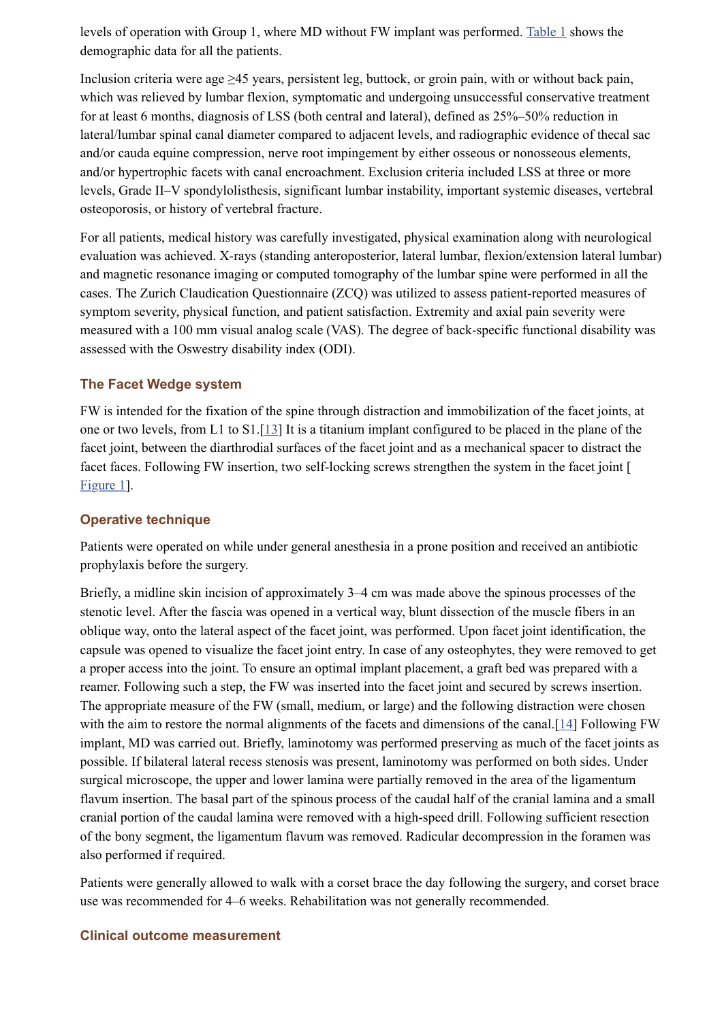levels of operation with Group 1, where MD without FW implant was performed. [Table 1](https://www.ncbi.nlm.nih.gov/pmc/articles/PMC5634105/table/T1/) shows the demographic data for all the patients.

Inclusion criteria were age ≥45 years, persistent leg, buttock, or groin pain, with or without back pain, which was relieved by lumbar flexion, symptomatic and undergoing unsuccessful conservative treatment for at least 6 months, diagnosis of LSS (both central and lateral), defined as 25%–50% reduction in lateral/lumbar spinal canal diameter compared to adjacent levels, and radiographic evidence of thecal sac and/or cauda equine compression, nerve root impingement by either osseous or nonosseous elements, and/or hypertrophic facets with canal encroachment. Exclusion criteria included LSS at three or more levels, Grade II–V spondylolisthesis, significant lumbar instability, important systemic diseases, vertebral osteoporosis, or history of vertebral fracture.

For all patients, medical history was carefully investigated, physical examination along with neurological evaluation was achieved. X-rays (standing anteroposterior, lateral lumbar, flexion/extension lateral lumbar) and magnetic resonance imaging or computed tomography of the lumbar spine were performed in all the cases. The Zurich Claudication Questionnaire (ZCQ) was utilized to assess patient-reported measures of symptom severity, physical function, and patient satisfaction. Extremity and axial pain severity were measured with a 100 mm visual analog scale (VAS). The degree of back-specific functional disability was assessed with the Oswestry disability index (ODI).

### **The Facet Wedge system**

FW is intended for the fixation of the spine through distraction and immobilization of the facet joints, at one or two levels, from L1 to S1.[[13](#page-5-12)] It is a titanium implant configured to be placed in the plane of the facet joint, between the diarthrodial surfaces of the facet joint and as a mechanical spacer to distract the facet faces. Following FW insertion, two self-locking screws strengthen the system in the facet joint [ [Figure 1\]](https://www.ncbi.nlm.nih.gov/pmc/articles/PMC5634105/figure/F1/).

#### **Operative technique**

Patients were operated on while under general anesthesia in a prone position and received an antibiotic prophylaxis before the surgery.

Briefly, a midline skin incision of approximately 3–4 cm was made above the spinous processes of the stenotic level. After the fascia was opened in a vertical way, blunt dissection of the muscle fibers in an oblique way, onto the lateral aspect of the facet joint, was performed. Upon facet joint identification, the capsule was opened to visualize the facet joint entry. In case of any osteophytes, they were removed to get a proper access into the joint. To ensure an optimal implant placement, a graft bed was prepared with a reamer. Following such a step, the FW was inserted into the facet joint and secured by screws insertion. The appropriate measure of the FW (small, medium, or large) and the following distraction were chosen with the aim to restore the normal alignments of the facets and dimensions of the canal.<sup>[[14](#page-6-0)]</sup> Following FW implant, MD was carried out. Briefly, laminotomy was performed preserving as much of the facet joints as possible. If bilateral lateral recess stenosis was present, laminotomy was performed on both sides. Under surgical microscope, the upper and lower lamina were partially removed in the area of the ligamentum flavum insertion. The basal part of the spinous process of the caudal half of the cranial lamina and a small cranial portion of the caudal lamina were removed with a high-speed drill. Following sufficient resection of the bony segment, the ligamentum flavum was removed. Radicular decompression in the foramen was also performed if required.

Patients were generally allowed to walk with a corset brace the day following the surgery, and corset brace use was recommended for 4–6 weeks. Rehabilitation was not generally recommended.

#### **Clinical outcome measurement**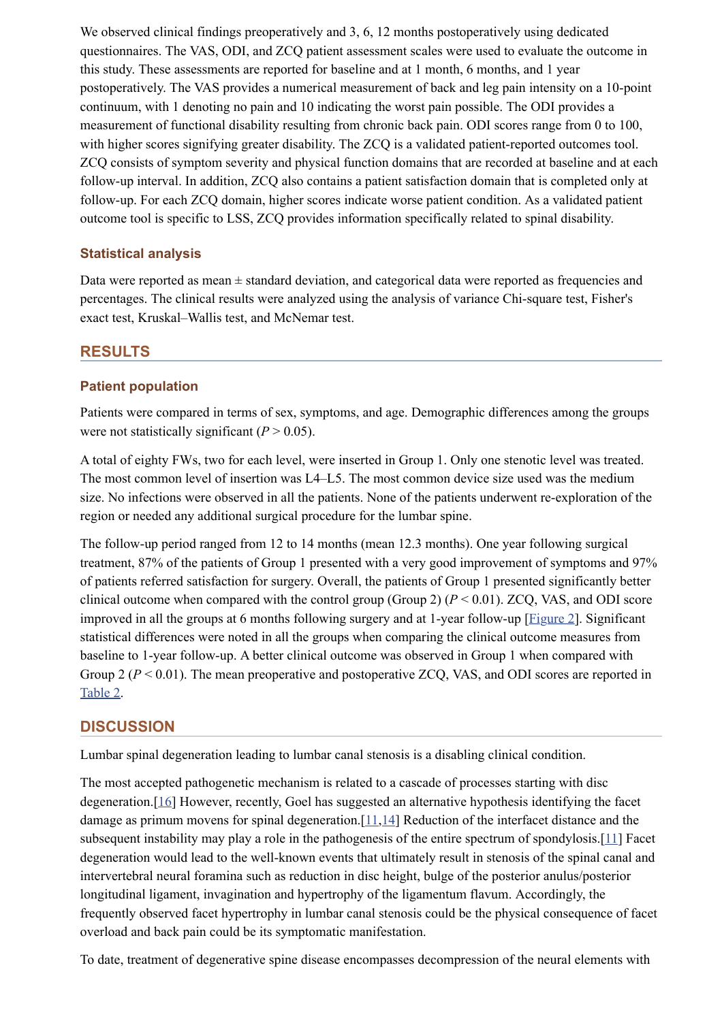We observed clinical findings preoperatively and 3, 6, 12 months postoperatively using dedicated questionnaires. The VAS, ODI, and ZCQ patient assessment scales were used to evaluate the outcome in this study. These assessments are reported for baseline and at 1 month, 6 months, and 1 year postoperatively. The VAS provides a numerical measurement of back and leg pain intensity on a 10-point continuum, with 1 denoting no pain and 10 indicating the worst pain possible. The ODI provides a measurement of functional disability resulting from chronic back pain. ODI scores range from 0 to 100, with higher scores signifying greater disability. The ZCQ is a validated patient-reported outcomes tool. ZCQ consists of symptom severity and physical function domains that are recorded at baseline and at each follow-up interval. In addition, ZCQ also contains a patient satisfaction domain that is completed only at follow-up. For each ZCQ domain, higher scores indicate worse patient condition. As a validated patient outcome tool is specific to LSS, ZCQ provides information specifically related to spinal disability.

### **Statistical analysis**

Data were reported as mean  $\pm$  standard deviation, and categorical data were reported as frequencies and percentages. The clinical results were analyzed using the analysis of variance Chi-square test, Fisher's exact test, Kruskal–Wallis test, and McNemar test.

### **RESULTS**

### **Patient population**

Patients were compared in terms of sex, symptoms, and age. Demographic differences among the groups were not statistically significant  $(P > 0.05)$ .

A total of eighty FWs, two for each level, were inserted in Group 1. Only one stenotic level was treated. The most common level of insertion was L4–L5. The most common device size used was the medium size. No infections were observed in all the patients. None of the patients underwent re-exploration of the region or needed any additional surgical procedure for the lumbar spine.

The follow-up period ranged from 12 to 14 months (mean 12.3 months). One year following surgical treatment, 87% of the patients of Group 1 presented with a very good improvement of symptoms and 97% of patients referred satisfaction for surgery. Overall, the patients of Group 1 presented significantly better clinical outcome when compared with the control group (Group 2) (*P* < 0.01). ZCQ, VAS, and ODI score improved in all the groups at 6 months following surgery and at 1-year follow-up [[Figure 2\]](https://www.ncbi.nlm.nih.gov/pmc/articles/PMC5634105/figure/F2/). Significant statistical differences were noted in all the groups when comparing the clinical outcome measures from baseline to 1-year follow-up. A better clinical outcome was observed in Group 1 when compared with Group 2 ( $P < 0.01$ ). The mean preoperative and postoperative ZCQ, VAS, and ODI scores are reported in [Table 2](https://www.ncbi.nlm.nih.gov/pmc/articles/PMC5634105/table/T2/).

### **DISCUSSION**

Lumbar spinal degeneration leading to lumbar canal stenosis is a disabling clinical condition.

The most accepted pathogenetic mechanism is related to a cascade of processes starting with disc degeneration.[\[16](#page-6-2)] However, recently, Goel has suggested an alternative hypothesis identifying the facet damage as primum movens for spinal degeneration.[\[11,](#page-5-10)[14\]](#page-6-0) Reduction of the interfacet distance and the subsequent instability may play a role in the pathogenesis of the entire spectrum of spondylosis.[[11](#page-5-10)] Facet degeneration would lead to the well-known events that ultimately result in stenosis of the spinal canal and intervertebral neural foramina such as reduction in disc height, bulge of the posterior anulus/posterior longitudinal ligament, invagination and hypertrophy of the ligamentum flavum. Accordingly, the frequently observed facet hypertrophy in lumbar canal stenosis could be the physical consequence of facet overload and back pain could be its symptomatic manifestation.

To date, treatment of degenerative spine disease encompasses decompression of the neural elements with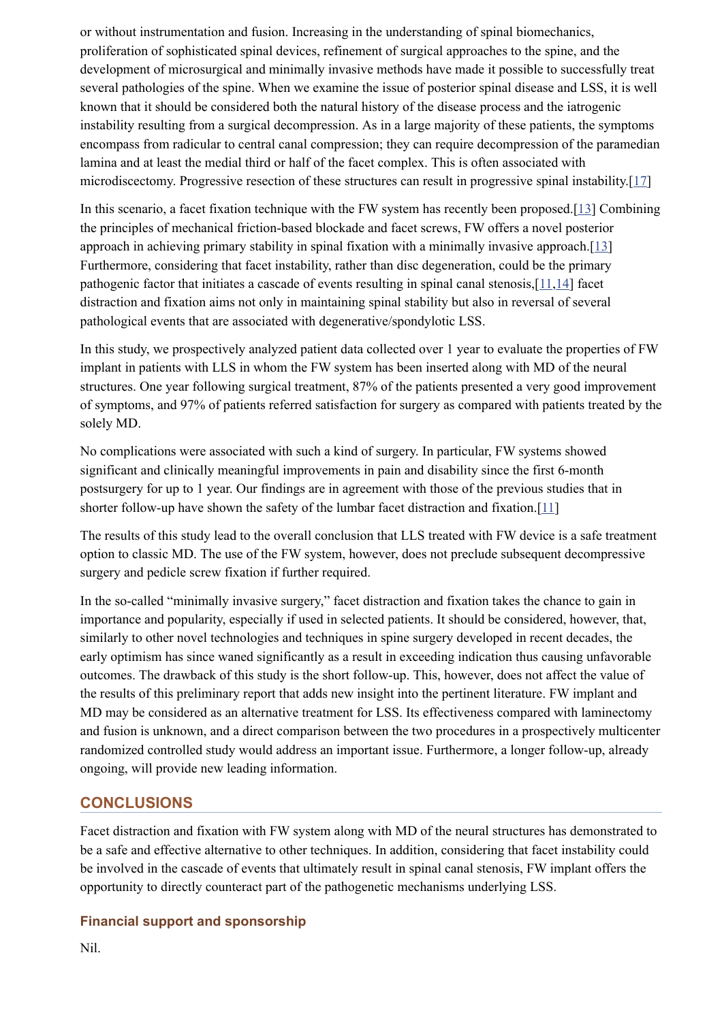or without instrumentation and fusion. Increasing in the understanding of spinal biomechanics, proliferation of sophisticated spinal devices, refinement of surgical approaches to the spine, and the development of microsurgical and minimally invasive methods have made it possible to successfully treat several pathologies of the spine. When we examine the issue of posterior spinal disease and LSS, it is well known that it should be considered both the natural history of the disease process and the iatrogenic instability resulting from a surgical decompression. As in a large majority of these patients, the symptoms encompass from radicular to central canal compression; they can require decompression of the paramedian lamina and at least the medial third or half of the facet complex. This is often associated with microdiscectomy. Progressive resection of these structures can result in progressive spinal instability.[[17](#page-6-3)]

In this scenario, a facet fixation technique with the FW system has recently been proposed.[\[13](#page-5-12)] Combining the principles of mechanical friction-based blockade and facet screws, FW offers a novel posterior approach in achieving primary stability in spinal fixation with a minimally invasive approach.[[13](#page-5-12)] Furthermore, considering that facet instability, rather than disc degeneration, could be the primary pathogenic factor that initiates a cascade of events resulting in spinal canal stenosis,[\[11](#page-5-10)[,14](#page-6-0)] facet distraction and fixation aims not only in maintaining spinal stability but also in reversal of several pathological events that are associated with degenerative/spondylotic LSS.

In this study, we prospectively analyzed patient data collected over 1 year to evaluate the properties of FW implant in patients with LLS in whom the FW system has been inserted along with MD of the neural structures. One year following surgical treatment, 87% of the patients presented a very good improvement of symptoms, and 97% of patients referred satisfaction for surgery as compared with patients treated by the solely MD.

No complications were associated with such a kind of surgery. In particular, FW systems showed significant and clinically meaningful improvements in pain and disability since the first 6-month postsurgery for up to 1 year. Our findings are in agreement with those of the previous studies that in shorter follow-up have shown the safety of the lumbar facet distraction and fixation.[\[11](#page-5-10)]

The results of this study lead to the overall conclusion that LLS treated with FW device is a safe treatment option to classic MD. The use of the FW system, however, does not preclude subsequent decompressive surgery and pedicle screw fixation if further required.

In the so-called "minimally invasive surgery," facet distraction and fixation takes the chance to gain in importance and popularity, especially if used in selected patients. It should be considered, however, that, similarly to other novel technologies and techniques in spine surgery developed in recent decades, the early optimism has since waned significantly as a result in exceeding indication thus causing unfavorable outcomes. The drawback of this study is the short follow-up. This, however, does not affect the value of the results of this preliminary report that adds new insight into the pertinent literature. FW implant and MD may be considered as an alternative treatment for LSS. Its effectiveness compared with laminectomy and fusion is unknown, and a direct comparison between the two procedures in a prospectively multicenter randomized controlled study would address an important issue. Furthermore, a longer follow-up, already ongoing, will provide new leading information.

# **CONCLUSIONS**

Facet distraction and fixation with FW system along with MD of the neural structures has demonstrated to be a safe and effective alternative to other techniques. In addition, considering that facet instability could be involved in the cascade of events that ultimately result in spinal canal stenosis, FW implant offers the opportunity to directly counteract part of the pathogenetic mechanisms underlying LSS.

### **Financial support and sponsorship**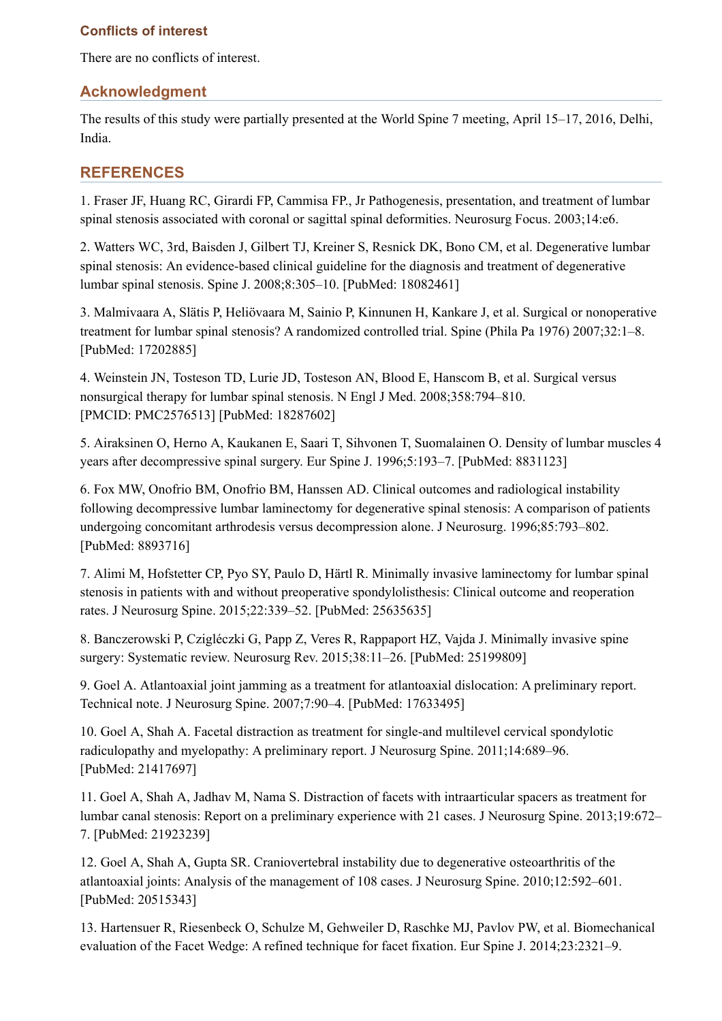### **Conflicts of interest**

There are no conflicts of interest.

# **Acknowledgment**

The results of this study were partially presented at the World Spine 7 meeting, April 15–17, 2016, Delhi, India.

# **REFERENCES**

<span id="page-5-0"></span>1. Fraser JF, Huang RC, Girardi FP, Cammisa FP., Jr Pathogenesis, presentation, and treatment of lumbar spinal stenosis associated with coronal or sagittal spinal deformities. Neurosurg Focus. 2003;14:e6.

<span id="page-5-1"></span>2. Watters WC, 3rd, Baisden J, Gilbert TJ, Kreiner S, Resnick DK, Bono CM, et al. Degenerative lumbar spinal stenosis: An evidence-based clinical guideline for the diagnosis and treatment of degenerative lumbar spinal stenosis. Spine J. 2008;8:305–10. [PubMed: 18082461]

<span id="page-5-2"></span>3. Malmivaara A, Slätis P, Heliövaara M, Sainio P, Kinnunen H, Kankare J, et al. Surgical or nonoperative treatment for lumbar spinal stenosis? A randomized controlled trial. Spine (Phila Pa 1976) 2007;32:1–8. [PubMed: 17202885]

<span id="page-5-3"></span>4. Weinstein JN, Tosteson TD, Lurie JD, Tosteson AN, Blood E, Hanscom B, et al. Surgical versus nonsurgical therapy for lumbar spinal stenosis. N Engl J Med. 2008;358:794–810. [PMCID: PMC2576513] [PubMed: 18287602]

<span id="page-5-4"></span>5. Airaksinen O, Herno A, Kaukanen E, Saari T, Sihvonen T, Suomalainen O. Density of lumbar muscles 4 years after decompressive spinal surgery. Eur Spine J. 1996;5:193–7. [PubMed: 8831123]

<span id="page-5-5"></span>6. Fox MW, Onofrio BM, Onofrio BM, Hanssen AD. Clinical outcomes and radiological instability following decompressive lumbar laminectomy for degenerative spinal stenosis: A comparison of patients undergoing concomitant arthrodesis versus decompression alone. J Neurosurg. 1996;85:793–802. [PubMed: 8893716]

<span id="page-5-6"></span>7. Alimi M, Hofstetter CP, Pyo SY, Paulo D, Härtl R. Minimally invasive laminectomy for lumbar spinal stenosis in patients with and without preoperative spondylolisthesis: Clinical outcome and reoperation rates. J Neurosurg Spine. 2015;22:339–52. [PubMed: 25635635]

<span id="page-5-7"></span>8. Banczerowski P, Czigléczki G, Papp Z, Veres R, Rappaport HZ, Vajda J. Minimally invasive spine surgery: Systematic review. Neurosurg Rev. 2015;38:11–26. [PubMed: 25199809]

<span id="page-5-8"></span>9. Goel A. Atlantoaxial joint jamming as a treatment for atlantoaxial dislocation: A preliminary report. Technical note. J Neurosurg Spine. 2007;7:90–4. [PubMed: 17633495]

<span id="page-5-9"></span>10. Goel A, Shah A. Facetal distraction as treatment for single-and multilevel cervical spondylotic radiculopathy and myelopathy: A preliminary report. J Neurosurg Spine. 2011;14:689–96. [PubMed: 21417697]

<span id="page-5-10"></span>11. Goel A, Shah A, Jadhav M, Nama S. Distraction of facets with intraarticular spacers as treatment for lumbar canal stenosis: Report on a preliminary experience with 21 cases. J Neurosurg Spine. 2013;19:672– 7. [PubMed: 21923239]

<span id="page-5-11"></span>12. Goel A, Shah A, Gupta SR. Craniovertebral instability due to degenerative osteoarthritis of the atlantoaxial joints: Analysis of the management of 108 cases. J Neurosurg Spine. 2010;12:592–601. [PubMed: 20515343]

<span id="page-5-12"></span>13. Hartensuer R, Riesenbeck O, Schulze M, Gehweiler D, Raschke MJ, Pavlov PW, et al. Biomechanical evaluation of the Facet Wedge: A refined technique for facet fixation. Eur Spine J. 2014;23:2321–9.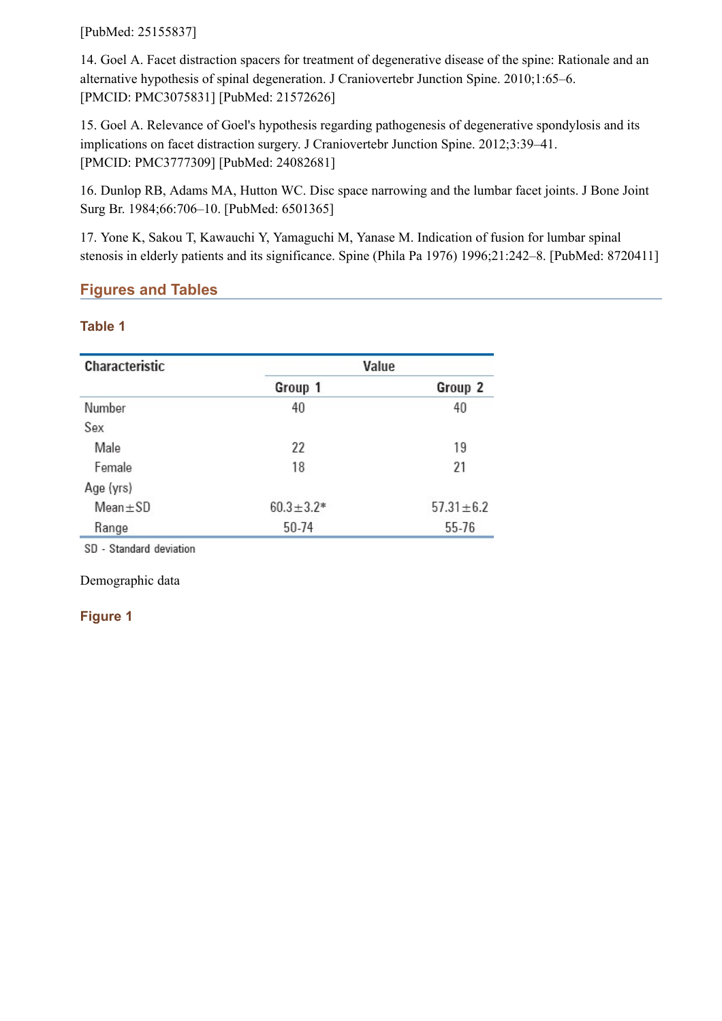[PubMed: 25155837]

<span id="page-6-0"></span>14. Goel A. Facet distraction spacers for treatment of degenerative disease of the spine: Rationale and an alternative hypothesis of spinal degeneration. J Craniovertebr Junction Spine. 2010;1:65–6. [PMCID: PMC3075831] [PubMed: 21572626]

<span id="page-6-1"></span>15. Goel A. Relevance of Goel's hypothesis regarding pathogenesis of degenerative spondylosis and its implications on facet distraction surgery. J Craniovertebr Junction Spine. 2012;3:39–41. [PMCID: PMC3777309] [PubMed: 24082681]

<span id="page-6-2"></span>16. Dunlop RB, Adams MA, Hutton WC. Disc space narrowing and the lumbar facet joints. J Bone Joint Surg Br. 1984;66:706–10. [PubMed: 6501365]

<span id="page-6-3"></span>17. Yone K, Sakou T, Kawauchi Y, Yamaguchi M, Yanase M. Indication of fusion for lumbar spinal stenosis in elderly patients and its significance. Spine (Phila Pa 1976) 1996;21:242–8. [PubMed: 8720411]

# **Figures and Tables**

### **Table 1**

| <b>Characteristic</b> |                 | Value           |
|-----------------------|-----------------|-----------------|
|                       | Group 1         | Group 2         |
| Number                | 40              | 40              |
| Sex                   |                 |                 |
| Male                  | 22              | 19              |
| Female                | 18              | 21              |
| Age (yrs)             |                 |                 |
| $Mean \pm SD$         | $60.3 \pm 3.2*$ | $57.31 \pm 6.2$ |
| Range                 | 50-74           | 55-76           |

SD - Standard deviation

Demographic data

### **Figure 1**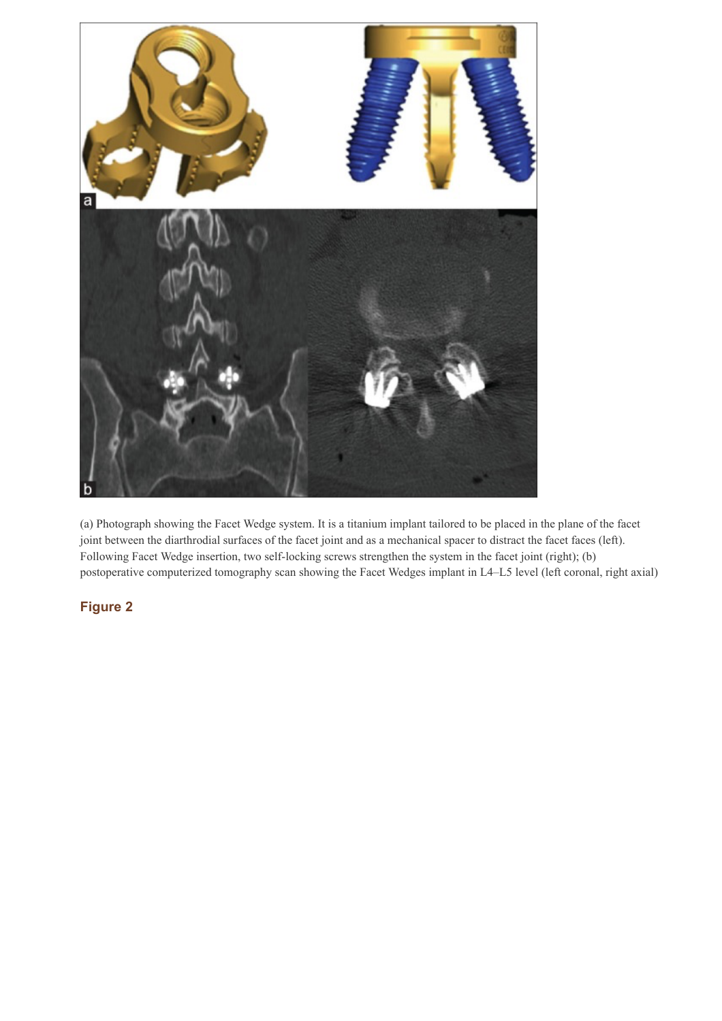

(a) Photograph showing the Facet Wedge system. It is a titanium implant tailored to be placed in the plane of the facet joint between the diarthrodial surfaces of the facet joint and as a mechanical spacer to distract the facet faces (left). Following Facet Wedge insertion, two self-locking screws strengthen the system in the facet joint (right); (b) postoperative computerized tomography scan showing the Facet Wedges implant in L4–L5 level (left coronal, right axial)

# **Figure 2**